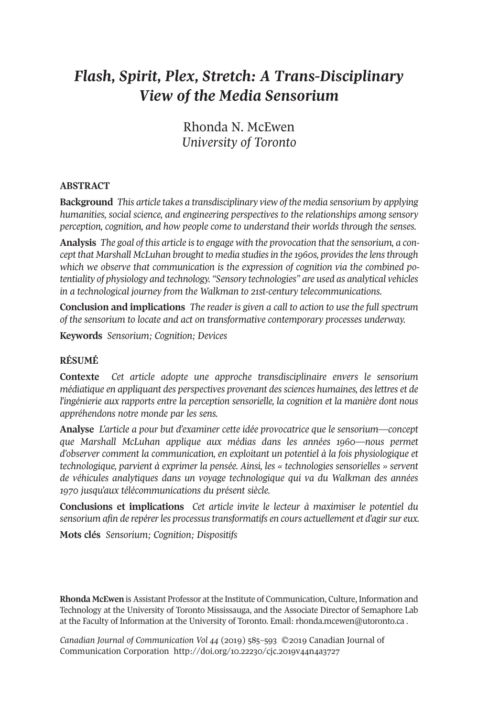# *Flash, Spirit, Plex, Stretch: A Trans-Disciplinary View of the Media Sensorium*

Rhonda N. McEwen *University of Toronto*

# **ABSTRACT**

**Background** *This article takes a transdisciplinary view of the media sensorium by applying humanities, social science, and engineering perspectives to the relationships among sensory perception, cognition, and how people come to understand their worlds through the senses.*

**Analysis** *The goal of this article isto engage with the provocation that the sensorium, a concept that Marshall McLuhan brought to media studiesin the 1960s, providesthe lensthrough which we observe that communication is the expression of cognition via the combined potentiality of physiology and technology. "Sensory technologies" are used as analytical vehicles in a technological journey from the Walkman to 21st-century telecommunications.*

**Conclusion and implications** *The reader is given a call to action to use the full spectrum of the sensorium to locate and act on transformative contemporary processes underway.*

**Keywords** *Sensorium; Cognition; Devices*

# **RÉSUMÉ**

**Contexte** *Cet article adopte une approche transdisciplinaire envers le sensorium médiatique en appliquant des perspectives provenant dessciences humaines, deslettres et de l'ingénierie aux rapports entre la perception sensorielle, la cognition et la manière dont nous appréhendons notre monde par les sens.*

**Analyse** *L'article a pour but d'examiner cette idée provocatrice que le sensorium—concept que Marshall McLuhan applique aux médias dans les années 1960—nous permet d'observer comment la communication, en exploitant un potentiel à la fois physiologique et technologique, parvient à exprimer la pensée. Ainsi, les « technologies sensorielles » servent de véhicules analytiques dans un voyage technologique qui va du Walkman des années 1970 jusqu'aux télécommunications du présent siècle.*

**Conclusions et implications** *Cet article invite le lecteur à maximiser le potentiel du sensorium afin de repérerles processustransformatifs en cours actuellement et d'agirsur eux.*

**Mots clés** *Sensorium; Cognition; Dispositifs*

**Rhonda McEwen** is Assistant Professor at the Institute of Communication, Culture, Information and Technology at the University of Toronto Mississauga, and the Associate Director of Semaphore Lab at the Faculty of Information at the University of Toronto. Email: [rhonda.mcewen@utoronto.ca](mailto:rhonda.mcewen@utoronto.ca) .

*Canadian Journal of [Communication](http://www.cjc-online.ca) Vol 44* (2019) 585–593 ©2019 Canadian Journal of Communication Corporation <http://doi.org/10.22230/cjc.2019v44n4a3727>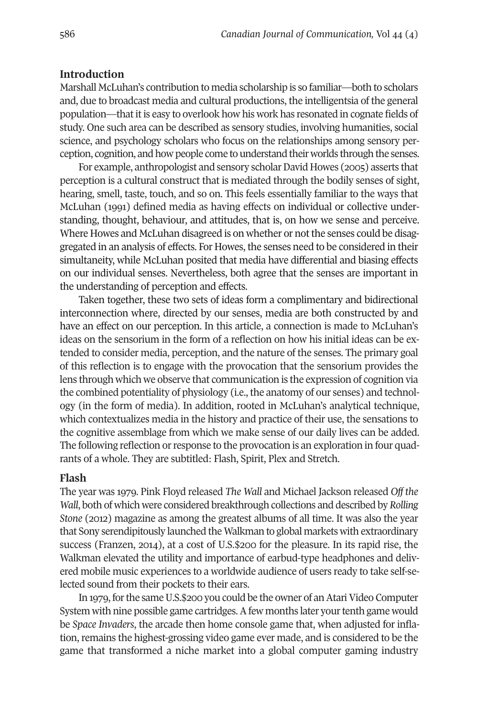# **Introduction**

Marshall McLuhan's contribution to media scholarship is so familiar—both to scholars and, due to broadcast media and cultural productions, the intelligentsia of the general population—thatitis easy to overlook how his work has resonated in cognate fields of study. One such area can be described as sensory studies, involving humanities, social science, and psychology scholars who focus on the relationships among sensory perception, cognition, and how people come to understand their worlds through the senses.

For example, anthropologist and sensory scholar David Howes (2005) asserts that perception is a cultural construct that is mediated through the bodily senses of sight, hearing, smell, taste, touch, and so on. This feels essentially familiar to the ways that McLuhan (1991) defined media as having effects on individual or collective understanding, thought, behaviour, and attitudes, that is, on how we sense and perceive. Where Howes and McLuhan disagreed is on whether or not the senses could be disaggregated in an analysis of effects. For Howes, the senses need to be considered in their simultaneity, while McLuhan posited that media have differential and biasing effects on our individual senses. Nevertheless, both agree that the senses are important in the understanding of perception and effects.

Taken together, these two sets of ideas form a complimentary and bidirectional interconnection where, directed by our senses, media are both constructed by and have an effect on our perception. In this article, a connection is made to McLuhan's ideas on the sensorium in the form of a reflection on how his initial ideas can be extended to consider media, perception, and the nature of the senses. The primary goal of this reflection is to engage with the provocation that the sensorium provides the lens through which we observe that communication is the expression of cognition via the combined potentiality of physiology (i.e., the anatomy of our senses) and technology (in the form of media). In addition, rooted in McLuhan's analytical technique, which contextualizes media in the history and practice of their use, the sensations to the cognitive assemblage from which we make sense of our daily lives can be added. The following reflection orresponse to the provocation is an exploration in four quadrants of a whole. They are subtitled: Flash, Spirit, Plex and Stretch.

## **Flash**

The year was 1979. Pink Floyd released *The Wall* and Michael Jackson released *Off the Wall*, both of which were considered breakthrough collections and described by*Rolling Stone* (2012) magazine as among the greatest albums of all time. It was also the year that Sony serendipitously launched the Walkman to global markets with extraordinary success (Franzen, 2014), at a cost of U.S.\$200 for the pleasure. In its rapid rise, the Walkman elevated the utility and importance of earbud-type headphones and delivered mobile music experiences to a worldwide audience of users ready to take self-selected sound from their pockets to their ears.

In 1979, for the same U.S.\$200 you could be the owner of an Atari Video Computer System with nine possible game cartridges. A few months later your tenth game would be *Space Invaders*, the arcade then home console game that, when adjusted for inflation, remains the highest-grossing video game ever made, and is considered to be the game that transformed a niche market into a global computer gaming industry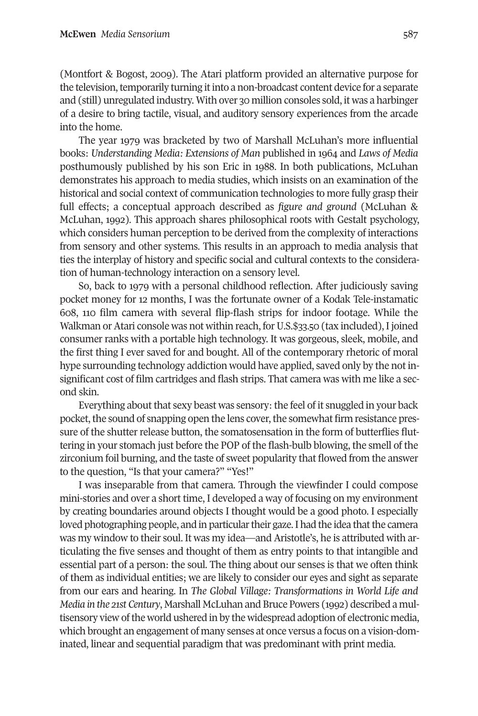(Montfort & Bogost, 2009). The Atari platform provided an alternative purpose for the television, temporarily turning it into a non-broadcast content device for a separate and (still) unregulated industry. With over 30 million consoles sold, it was a harbinger of a desire to bring tactile, visual, and auditory sensory experiences from the arcade into the home.

The year 1979 was bracketed by two of Marshall McLuhan's more influential books: *Understanding Media: Extensions of Man* published in 1964 and *Laws of Media* posthumously published by his son Eric in 1988. In both publications, McLuhan demonstrates his approach to media studies, which insists on an examination of the historical and social context of communication technologies to more fully grasp their full effects; a conceptual approach described as *figure and ground* (McLuhan & McLuhan, 1992)*.* This approach shares philosophical roots with Gestalt psychology, which considers human perception to be derived from the complexity of interactions from sensory and other systems. This results in an approach to media analysis that ties the interplay of history and specific social and cultural contexts to the consideration of human-technology interaction on a sensory level.

So, back to 1979 with a personal childhood reflection. After judiciously saving pocket money for 12 months, I was the fortunate owner of a Kodak Tele-instamatic 608, 110 film camera with several flip-flash strips for indoor footage. While the Walkman or Atari console was not within reach, for U.S.\$33.50 (tax included), I joined consumer ranks with a portable high technology. It was gorgeous, sleek, mobile, and the first thing I ever saved for and bought. All of the contemporary rhetoric of moral hype surrounding technology addiction would have applied, saved only by the not insignificant cost of film cartridges and flash strips. That camera was with me like a second skin.

Everything about that sexy beast was sensory: the feel of it snuggled in your back pocket, the sound of snapping open the lens cover, the somewhat firm resistance pressure of the shutter release button, the somatosensation in the form of butterflies fluttering in your stomach just before the POP of the flash-bulb blowing, the smell of the zirconium foil burning, and the taste of sweet popularity that flowed from the answer to the question, "Is that your camera?" "Yes!"

I was inseparable from that camera. Through the viewfinder I could compose mini-stories and over a short time, I developed a way of focusing on my environment by creating boundaries around objects I thought would be a good photo. I especially loved photographing people, and in particular their gaze. I had the idea that the camera was my window to their soul. It was my idea—and Aristotle's, he is attributed with articulating the five senses and thought of them as entry points to that intangible and essential part of a person: the soul. The thing about our senses is that we often think of them as individual entities; we are likely to consider our eyes and sight as separate from our ears and hearing. In *The Global Village: Transformations in World Life and Media in the 21st Century*, Marshall McLuhan and Bruce Powers (1992) described a multisensory view of the world ushered in by the widespread adoption of electronic media, which brought an engagement of many senses at once versus a focus on a vision-dominated, linear and sequential paradigm that was predominant with print media.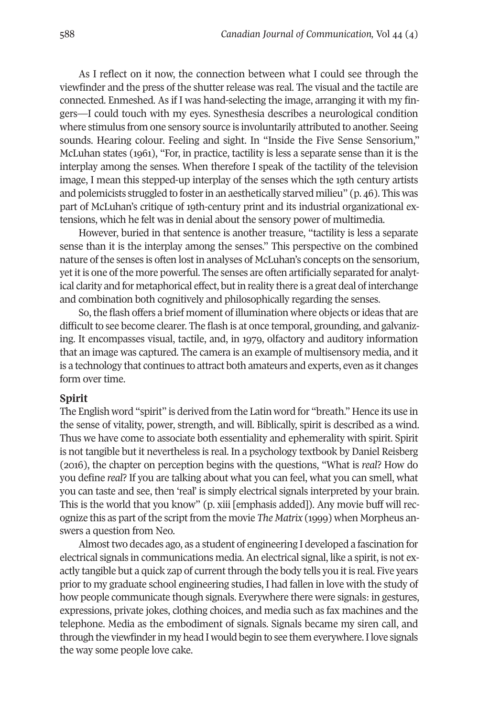As I reflect on it now, the connection between what I could see through the viewfinder and the press of the shutter release was real. The visual and the tactile are connected. Enmeshed. As if I was hand-selecting the image, arranging it with my fingers—I could touch with my eyes. Synesthesia describes a neurological condition where stimulus from one sensory source is involuntarily attributed to another. Seeing sounds. Hearing colour. Feeling and sight. In "Inside the Five Sense Sensorium," McLuhan states (1961), "For, in practice, tactility is less a separate sense than it is the interplay among the senses. When therefore I speak of the tactility of the television image, I mean this stepped-up interplay of the senses which the 19th century artists and polemicists struggled to fosterin an aesthetically starved milieu" (p. 46). This was part of McLuhan's critique of 19th-century print and its industrial organizational extensions, which he felt was in denial about the sensory power of multimedia.

However, buried in that sentence is another treasure, "tactility is less a separate sense than it is the interplay among the senses." This perspective on the combined nature of the senses is often lost in analyses of McLuhan's concepts on the sensorium, yet it is one of the more powerful. The senses are often artificially separated for analytical clarity and for metaphorical effect, but in reality there is a great deal of interchange and combination both cognitively and philosophically regarding the senses.

So, the flash offers a brief moment of illumination where objects or ideas that are difficult to see become clearer. The flash is at once temporal, grounding, and galvanizing. It encompasses visual, tactile, and, in 1979, olfactory and auditory information that an image was captured. The camera is an example of multisensory media, and it is a technology that continues to attract both amateurs and experts, even as it changes form over time.

### **Spirit**

The English word "spirit" is derived from the Latin word for "breath." Hence its use in the sense of vitality, power, strength, and will. Biblically, spirit is described as a wind. Thus we have come to associate both essentiality and ephemerality with spirit. Spirit is not tangible but it nevertheless is real. In a psychology textbook by Daniel Reisberg (2016), the chapter on perception begins with the questions, "What is *real*? How do you define *real*? If you are talking about what you can feel, what you can smell, what you can taste and see, then 'real' is simply electrical signals interpreted by your brain. This is the world that you know" (p. xiii [emphasis added]). Any movie buff will recognize this as part of the script from the movie *The Matrix* (1999) when Morpheus answers a question from Neo.

Almost two decades ago, as a student of engineering I developed a fascination for electrical signals in communications media. An electrical signal, like a spirit, is not exactly tangible but a quick zap of current through the body tells you it is real. Five years prior to my graduate school engineering studies, I had fallen in love with the study of how people communicate though signals. Everywhere there were signals: in gestures, expressions, private jokes, clothing choices, and media such as fax machines and the telephone. Media as the embodiment of signals. Signals became my siren call, and through the viewfinder in my head I would begin to see them everywhere. I love signals the way some people love cake.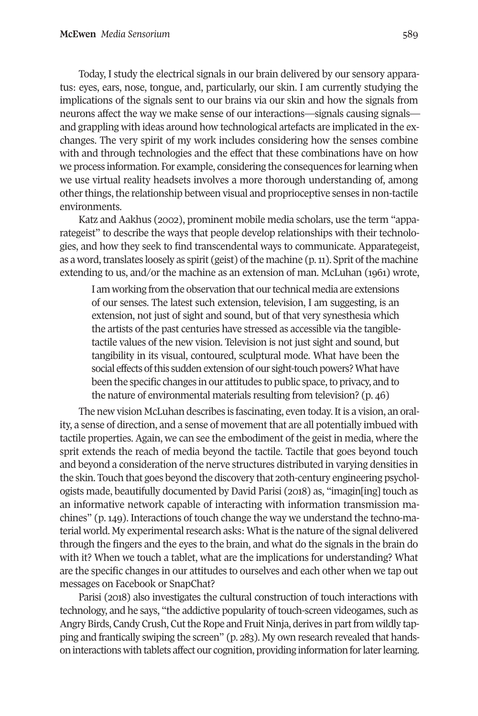Today, I study the electrical signals in our brain delivered by our sensory apparatus: eyes, ears, nose, tongue, and, particularly, our skin. I am currently studying the implications of the signals sent to our brains via our skin and how the signals from neurons affect the way we make sense of our interactions—signals causing signals and grappling with ideas around how technological artefacts are implicated in the exchanges. The very spirit of my work includes considering how the senses combine with and through technologies and the effect that these combinations have on how we process information. For example, considering the consequences forlearning when we use virtual reality headsets involves a more thorough understanding of, among other things, the relationship between visual and proprioceptive senses in non-tactile environments.

Katz and Aakhus (2002), prominent mobile media scholars, use the term "apparategeist" to describe the ways that people develop relationships with their technologies, and how they seek to find transcendental ways to communicate. Apparategeist, as a word, translates loosely as spirit (geist) of the machine  $(p, n)$ . Sprit of the machine extending to us, and/or the machine as an extension of man. McLuhan (1961) wrote,

I am working from the observation that our technical media are extensions of our senses. The latest such extension, television, I am suggesting, is an extension, not just of sight and sound, but of that very synesthesia which the artists of the past centuries have stressed as accessible via the tangibletactile values of the new vision. Television is not just sight and sound, but tangibility in its visual, contoured, sculptural mode. What have been the social effects of this sudden extension of our sight-touch powers? What have been the specific changes in our attitudes to public space, to privacy, and to the nature of environmental materials resulting from television? (p. 46)

The new vision McLuhan describes is fascinating, even today. It is a vision, an orality, a sense of direction, and a sense of movement that are all potentially imbued with tactile properties. Again, we can see the embodiment of the geist in media, where the sprit extends the reach of media beyond the tactile. Tactile that goes beyond touch and beyond a consideration of the nerve structures distributed in varying densities in the skin. Touch that goes beyond the discovery that 20th-century engineering psychologists made, beautifully documented by David Parisi (2018) as, "imagin[ing] touch as an informative network capable of interacting with information transmission machines" (p. 149). Interactions of touch change the way we understand the techno-material world. My experimental research asks: What is the nature of the signal delivered through the fingers and the eyes to the brain, and what do the signals in the brain do with it? When we touch a tablet, what are the implications for understanding? What are the specific changes in our attitudes to ourselves and each other when we tap out messages on Facebook or SnapChat?

Parisi (2018) also investigates the cultural construction of touch interactions with technology, and he says, "the addictive popularity of touch-screen videogames, such as Angry Birds, Candy Crush, Cut the Rope and Fruit Ninja, derives in part from wildly tapping and frantically swiping the screen" (p. 283). My own research revealed that handson interactions with tablets affect our cognition, providing information for later learning.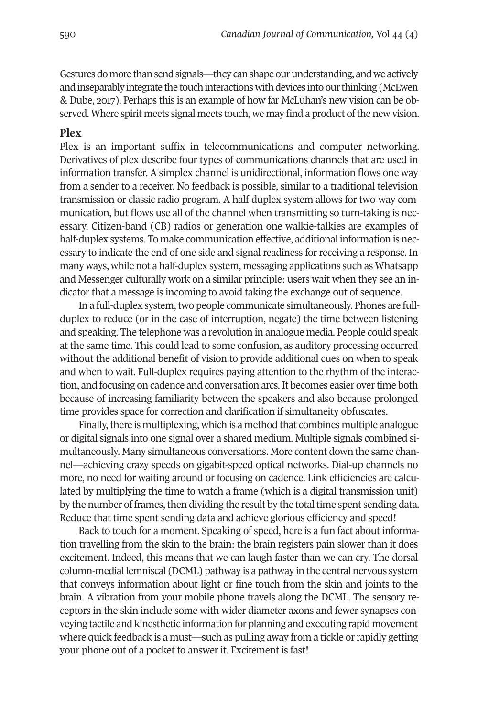Gestures do more than send signals—they can shape our understanding, and we actively and inseparably integrate the touch interactions with devices into our thinking (McEwen & Dube, 2017). Perhaps this is an example of how far McLuhan's new vision can be observed. Where spirit meets signal meets touch, we may find a product of the new vision.

# **Plex**

Plex is an important suffix in telecommunications and computer networking. Derivatives of plex describe four types of communications channels that are used in information transfer. A simplex channel is unidirectional, information flows one way from a sender to a receiver. No feedback is possible, similar to a traditional television transmission or classic radio program. A half-duplex system allows for two-way communication, but flows use all of the channel when transmitting so turn-taking is necessary. Citizen-band (CB) radios or generation one walkie-talkies are examples of half-duplex systems. To make communication effective, additional information is necessary to indicate the end of one side and signal readiness for receiving a response. In many ways, while not a half-duplex system, messaging applications such as Whatsapp and Messenger culturally work on a similar principle: users wait when they see an indicator that a message is incoming to avoid taking the exchange out of sequence.

In a full-duplex system, two people communicate simultaneously. Phones are fullduplex to reduce (or in the case of interruption, negate) the time between listening and speaking. The telephone was a revolution in analogue media. People could speak at the same time. This could lead to some confusion, as auditory processing occurred without the additional benefit of vision to provide additional cues on when to speak and when to wait. Full-duplex requires paying attention to the rhythm of the interaction, and focusing on cadence and conversation arcs.It becomes easier overtime both because of increasing familiarity between the speakers and also because prolonged time provides space for correction and clarification if simultaneity obfuscates.

Finally, there is multiplexing, which is a method that combines multiple analogue or digital signals into one signal over a shared medium. Multiple signals combined simultaneously. Many simultaneous conversations. More content down the same channel—achieving crazy speeds on gigabit-speed optical networks. Dial-up channels no more, no need for waiting around or focusing on cadence. Link efficiencies are calculated by multiplying the time to watch a frame (which is a digital transmission unit) by the number of frames, then dividing the result by the total time spent sending data. Reduce that time spent sending data and achieve glorious efficiency and speed!

Back to touch for a moment. Speaking of speed, here is a fun fact about information travelling from the skin to the brain: the brain registers pain slower than it does excitement. Indeed, this means that we can laugh faster than we can cry. The dorsal column-medial lemniscal (DCML) pathway is a pathway in the central nervous system that conveys information about light or fine touch from the skin and joints to the brain. A vibration from your mobile phone travels along the DCML. The sensory receptors in the skin include some with wider diameter axons and fewer synapses conveying tactile and kinesthetic information for planning and executing rapid movement where quick feedback is a must—such as pulling away from a tickle or rapidly getting your phone out of a pocket to answer it. Excitement is fast!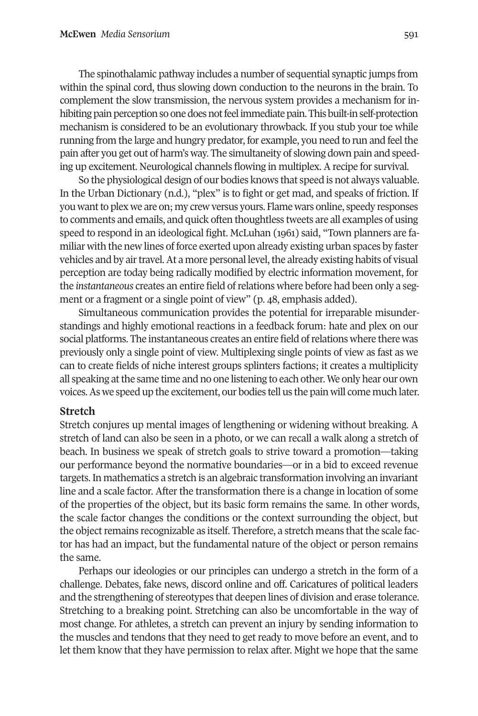The spinothalamic pathway includes a number of sequential synaptic jumps from within the spinal cord, thus slowing down conduction to the neurons in the brain. To complement the slow transmission, the nervous system provides a mechanism for inhibiting pain perception so one does not feel immediate pain. This built-in self-protection mechanism is considered to be an evolutionary throwback. If you stub your toe while running from the large and hungry predator, for example, you need to run and feel the pain after you get out of harm's way. The simultaneity of slowing down pain and speeding up excitement. Neurological channels flowing in multiplex. A recipe for survival.

So the physiological design of our bodies knows that speed is not always valuable. In the Urban Dictionary (n.d.), "plex" is to fight or get mad, and speaks of friction. If you wantto plex we are on; my crew versus yours. Flame wars online, speedy responses to comments and emails, and quick often thoughtless tweets are all examples of using speed to respond in an ideological fight. McLuhan (1961) said, "Town planners are familiar with the new lines of force exerted upon already existing urban spaces by faster vehicles and by air travel. At a more personal level, the already existing habits of visual perception are today being radically modified by electric information movement, for the *instantaneous* creates an entire field ofrelations where before had been only a segment or a fragment or a single point of view" (p. 48, emphasis added).

Simultaneous communication provides the potential for irreparable misunderstandings and highly emotional reactions in a feedback forum: hate and plex on our social platforms. The instantaneous creates an entire field ofrelations where there was previously only a single point of view. Multiplexing single points of view as fast as we can to create fields of niche interest groups splinters factions; it creates a multiplicity all speaking at the same time and no one listening to each other. We only hear our own voices.As we speed up the excitement, our bodies tell us the pain will come much later.

# **Stretch**

Stretch conjures up mental images of lengthening or widening without breaking. A stretch of land can also be seen in a photo, or we can recall a walk along a stretch of beach. In business we speak of stretch goals to strive toward a promotion—taking our performance beyond the normative boundaries—or in a bid to exceed revenue targets. In mathematics a stretch is an algebraic transformation involving an invariant line and a scale factor. After the transformation there is a change in location of some of the properties of the object, but its basic form remains the same. In other words, the scale factor changes the conditions or the context surrounding the object, but the object remains recognizable as itself. Therefore, a stretch means that the scale factor has had an impact, but the fundamental nature of the object or person remains the same.

Perhaps our ideologies or our principles can undergo a stretch in the form of a challenge. Debates, fake news, discord online and off. Caricatures of political leaders and the strengthening of stereotypes that deepen lines of division and erase tolerance. Stretching to a breaking point. Stretching can also be uncomfortable in the way of most change. For athletes, a stretch can prevent an injury by sending information to the muscles and tendons that they need to get ready to move before an event, and to let them know that they have permission to relax after. Might we hope that the same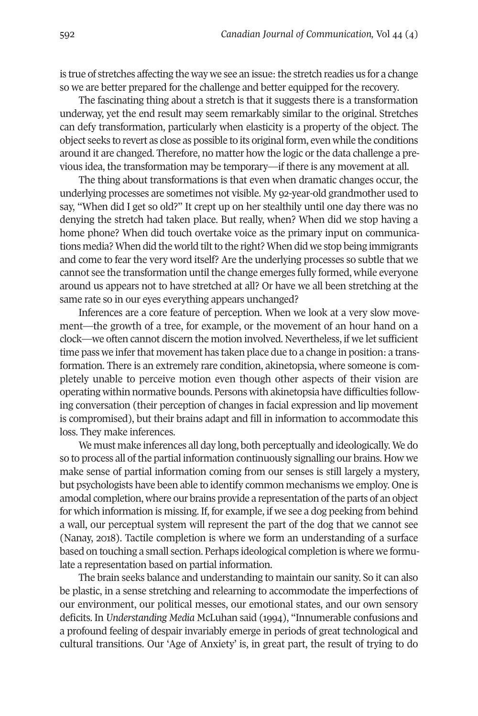is true of stretches affecting the way we see an issue: the stretch readies us for a change so we are better prepared for the challenge and better equipped for the recovery.

The fascinating thing about a stretch is that it suggests there is a transformation underway, yet the end result may seem remarkably similar to the original. Stretches can defy transformation, particularly when elasticity is a property of the object. The object seeks to revert as close as possible to its original form, even while the conditions around it are changed. Therefore, no matter how the logic orthe data challenge a previous idea, the transformation may be temporary—if there is any movement at all.

The thing about transformations is that even when dramatic changes occur, the underlying processes are sometimes not visible. My 92-year-old grandmother used to say, "When did I get so old?" It crept up on her stealthily until one day there was no denying the stretch had taken place. But really, when? When did we stop having a home phone? When did touch overtake voice as the primary input on communications media? When did the world tilt to the right? When did we stop being immigrants and come to fear the very word itself? Are the underlying processes so subtle that we cannot see the transformation until the change emerges fully formed, while everyone around us appears not to have stretched at all? Or have we all been stretching at the same rate so in our eyes everything appears unchanged?

Inferences are a core feature of perception. When we look at a very slow movement—the growth of a tree, for example, or the movement of an hour hand on a clock—we often cannot discern the motion involved. Nevertheless, if we let sufficient time pass we inferthat movement has taken place due to a change in position: a transformation. There is an extremely rare condition, akinetopsia, where someone is completely unable to perceive motion even though other aspects of their vision are operating within normative bounds. Persons with akinetopsia have difficulties following conversation (their perception of changes in facial expression and lip movement is compromised), but their brains adapt and fill in information to accommodate this loss. They make inferences.

We must make inferences all day long, both perceptually and ideologically. We do so to process all of the partial information continuously signalling our brains. How we make sense of partial information coming from our senses is still largely a mystery, but psychologists have been able to identify common mechanisms we employ. One is amodal completion, where our brains provide a representation ofthe parts of an object for which information is missing. If, for example, if we see a dog peeking from behind a wall, our perceptual system will represent the part of the dog that we cannot see (Nanay, 2018). Tactile completion is where we form an understanding of a surface based on touching a small section. Perhaps ideological completion is where we formulate a representation based on partial information.

The brain seeks balance and understanding to maintain our sanity. So it can also be plastic, in a sense stretching and relearning to accommodate the imperfections of our environment, our political messes, our emotional states, and our own sensory deficits. In *Understanding Media* McLuhan said (1994), "Innumerable confusions and a profound feeling of despair invariably emerge in periods of great technological and cultural transitions. Our 'Age of Anxiety' is, in great part, the result of trying to do